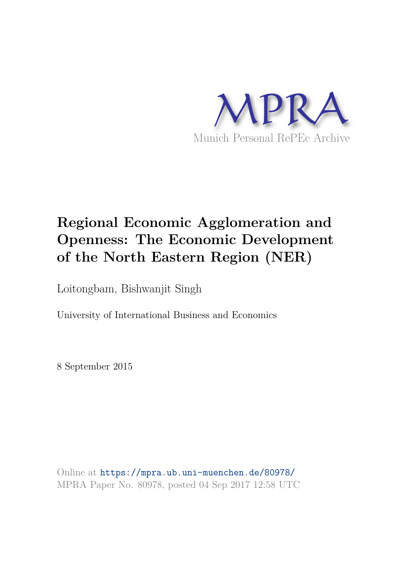

# **Regional Economic Agglomeration and Openness: The Economic Development of the North Eastern Region (NER)**

Loitongbam, Bishwanjit Singh

University of International Business and Economics

8 September 2015

Online at https://mpra.ub.uni-muenchen.de/80978/ MPRA Paper No. 80978, posted 04 Sep 2017 12:58 UTC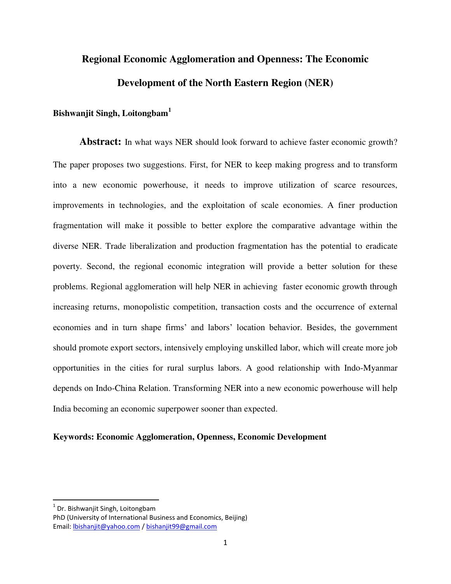# **Regional Economic Agglomeration and Openness: The Economic Development of the North Eastern Region (NER)**

## **Bishwanjit Singh, Loitongbam<sup>1</sup>**

Abstract: In what ways NER should look forward to achieve faster economic growth? The paper proposes two suggestions. First, for NER to keep making progress and to transform into a new economic powerhouse, it needs to improve utilization of scarce resources, improvements in technologies, and the exploitation of scale economies. A finer production fragmentation will make it possible to better explore the comparative advantage within the diverse NER. Trade liberalization and production fragmentation has the potential to eradicate poverty. Second, the regional economic integration will provide a better solution for these problems. Regional agglomeration will help NER in achieving faster economic growth through increasing returns, monopolistic competition, transaction costs and the occurrence of external economies and in turn shape firms' and labors' location behavior. Besides, the government should promote export sectors, intensively employing unskilled labor, which will create more job opportunities in the cities for rural surplus labors. A good relationship with Indo-Myanmar depends on Indo-China Relation. Transforming NER into a new economic powerhouse will help India becoming an economic superpower sooner than expected.

#### **Keywords: Economic Agglomeration, Openness, Economic Development**

l

 $^{1}$  Dr. Bishwanjit Singh, Loitongbam

PhD (University of International Business and Economics, Beijing) Email: [lbishanjit@yahoo.com](mailto:lbishanjit@yahoo.com) [/ bishanjit99@gmail.com](mailto:bishanjit99@gmail.com)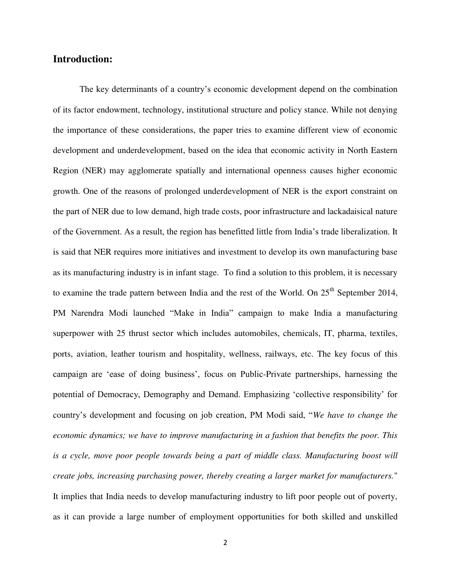## **Introduction:**

The key determinants of a country's economic development depend on the combination of its factor endowment, technology, institutional structure and policy stance. While not denying the importance of these considerations, the paper tries to examine different view of economic development and underdevelopment, based on the idea that economic activity in North Eastern Region (NER) may agglomerate spatially and international openness causes higher economic growth. One of the reasons of prolonged underdevelopment of NER is the export constraint on the part of NER due to low demand, high trade costs, poor infrastructure and lackadaisical nature of the Government. As a result, the region has benefitted little from India's trade liberalization. It is said that NER requires more initiatives and investment to develop its own manufacturing base as its manufacturing industry is in infant stage. To find a solution to this problem, it is necessary to examine the trade pattern between India and the rest of the World. On 25<sup>th</sup> September 2014, PM Narendra Modi launched "Make in India" campaign to make India a manufacturing superpower with 25 thrust sector which includes automobiles, chemicals, IT, pharma, textiles, ports, aviation, leather tourism and hospitality, wellness, railways, etc. The key focus of this campaign are 'ease of doing business', focus on Public-Private partnerships, harnessing the potential of Democracy, Demography and Demand. Emphasizing 'collective responsibility' for country's development and focusing on job creation, PM Modi said, "*We have to change the economic dynamics; we have to improve manufacturing in a fashion that benefits the poor. This*  is a cycle, move poor people towards being a part of middle class. Manufacturing boost will *create jobs, increasing purchasing power, thereby creating a larger market for manufacturers.*" It implies that India needs to develop manufacturing industry to lift poor people out of poverty, as it can provide a large number of employment opportunities for both skilled and unskilled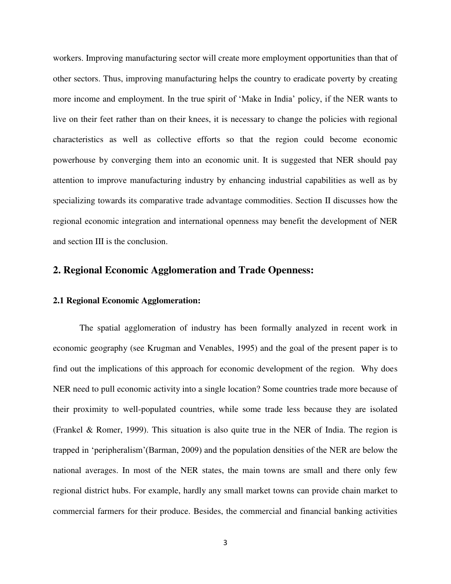workers. Improving manufacturing sector will create more employment opportunities than that of other sectors. Thus, improving manufacturing helps the country to eradicate poverty by creating more income and employment. In the true spirit of 'Make in India' policy, if the NER wants to live on their feet rather than on their knees, it is necessary to change the policies with regional characteristics as well as collective efforts so that the region could become economic powerhouse by converging them into an economic unit. It is suggested that NER should pay attention to improve manufacturing industry by enhancing industrial capabilities as well as by specializing towards its comparative trade advantage commodities. Section II discusses how the regional economic integration and international openness may benefit the development of NER and section III is the conclusion.

## **2. Regional Economic Agglomeration and Trade Openness:**

#### **2.1 Regional Economic Agglomeration:**

The spatial agglomeration of industry has been formally analyzed in recent work in economic geography (see Krugman and Venables, 1995) and the goal of the present paper is to find out the implications of this approach for economic development of the region. Why does NER need to pull economic activity into a single location? Some countries trade more because of their proximity to well-populated countries, while some trade less because they are isolated (Frankel & Romer, 1999). This situation is also quite true in the NER of India. The region is trapped in 'peripheralism'(Barman, 2009) and the population densities of the NER are below the national averages. In most of the NER states, the main towns are small and there only few regional district hubs. For example, hardly any small market towns can provide chain market to commercial farmers for their produce. Besides, the commercial and financial banking activities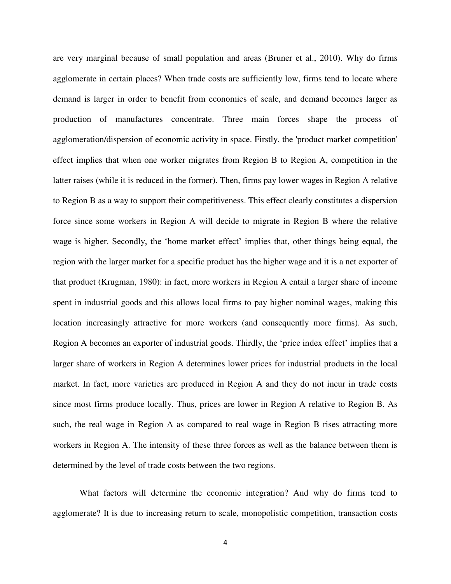are very marginal because of small population and areas (Bruner et al., 2010). Why do firms agglomerate in certain places? When trade costs are sufficiently low, firms tend to locate where demand is larger in order to benefit from economies of scale, and demand becomes larger as production of manufactures concentrate. Three main forces shape the process of agglomeration/dispersion of economic activity in space. Firstly, the 'product market competition' effect implies that when one worker migrates from Region B to Region A, competition in the latter raises (while it is reduced in the former). Then, firms pay lower wages in Region A relative to Region B as a way to support their competitiveness. This effect clearly constitutes a dispersion force since some workers in Region A will decide to migrate in Region B where the relative wage is higher. Secondly, the 'home market effect' implies that, other things being equal, the region with the larger market for a specific product has the higher wage and it is a net exporter of that product (Krugman, 1980): in fact, more workers in Region A entail a larger share of income spent in industrial goods and this allows local firms to pay higher nominal wages, making this location increasingly attractive for more workers (and consequently more firms). As such, Region A becomes an exporter of industrial goods. Thirdly, the 'price index effect' implies that a larger share of workers in Region A determines lower prices for industrial products in the local market. In fact, more varieties are produced in Region A and they do not incur in trade costs since most firms produce locally. Thus, prices are lower in Region A relative to Region B. As such, the real wage in Region A as compared to real wage in Region B rises attracting more workers in Region A. The intensity of these three forces as well as the balance between them is determined by the level of trade costs between the two regions.

What factors will determine the economic integration? And why do firms tend to agglomerate? It is due to increasing return to scale, monopolistic competition, transaction costs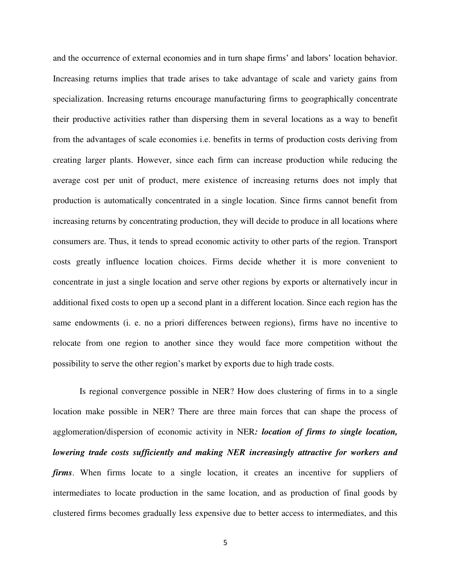and the occurrence of external economies and in turn shape firms' and labors' location behavior. Increasing returns implies that trade arises to take advantage of scale and variety gains from specialization. Increasing returns encourage manufacturing firms to geographically concentrate their productive activities rather than dispersing them in several locations as a way to benefit from the advantages of scale economies i.e. benefits in terms of production costs deriving from creating larger plants. However, since each firm can increase production while reducing the average cost per unit of product, mere existence of increasing returns does not imply that production is automatically concentrated in a single location. Since firms cannot benefit from increasing returns by concentrating production, they will decide to produce in all locations where consumers are. Thus, it tends to spread economic activity to other parts of the region. Transport costs greatly influence location choices. Firms decide whether it is more convenient to concentrate in just a single location and serve other regions by exports or alternatively incur in additional fixed costs to open up a second plant in a different location. Since each region has the same endowments (i. e. no a priori differences between regions), firms have no incentive to relocate from one region to another since they would face more competition without the possibility to serve the other region's market by exports due to high trade costs.

Is regional convergence possible in NER? How does clustering of firms in to a single location make possible in NER? There are three main forces that can shape the process of agglomeration/dispersion of economic activity in NER*: location of firms to single location, lowering trade costs sufficiently and making NER increasingly attractive for workers and firms*. When firms locate to a single location, it creates an incentive for suppliers of intermediates to locate production in the same location, and as production of final goods by clustered firms becomes gradually less expensive due to better access to intermediates, and this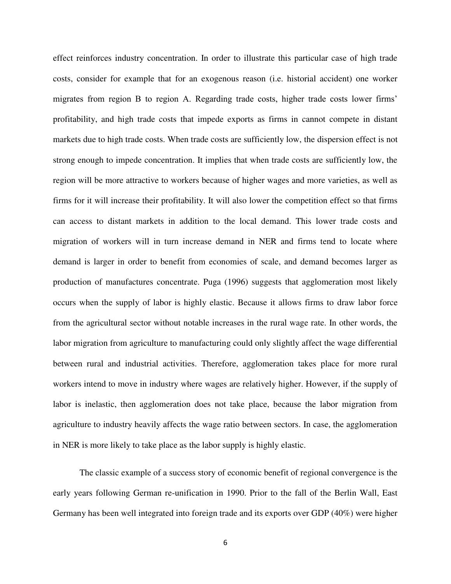effect reinforces industry concentration. In order to illustrate this particular case of high trade costs, consider for example that for an exogenous reason (i.e. historial accident) one worker migrates from region B to region A. Regarding trade costs, higher trade costs lower firms' profitability, and high trade costs that impede exports as firms in cannot compete in distant markets due to high trade costs. When trade costs are sufficiently low, the dispersion effect is not strong enough to impede concentration. It implies that when trade costs are sufficiently low, the region will be more attractive to workers because of higher wages and more varieties, as well as firms for it will increase their profitability. It will also lower the competition effect so that firms can access to distant markets in addition to the local demand. This lower trade costs and migration of workers will in turn increase demand in NER and firms tend to locate where demand is larger in order to benefit from economies of scale, and demand becomes larger as production of manufactures concentrate. Puga (1996) suggests that agglomeration most likely occurs when the supply of labor is highly elastic. Because it allows firms to draw labor force from the agricultural sector without notable increases in the rural wage rate. In other words, the labor migration from agriculture to manufacturing could only slightly affect the wage differential between rural and industrial activities. Therefore, agglomeration takes place for more rural workers intend to move in industry where wages are relatively higher. However, if the supply of labor is inelastic, then agglomeration does not take place, because the labor migration from agriculture to industry heavily affects the wage ratio between sectors. In case, the agglomeration in NER is more likely to take place as the labor supply is highly elastic.

The classic example of a success story of economic benefit of regional convergence is the early years following German re-unification in 1990. Prior to the fall of the Berlin Wall, East Germany has been well integrated into foreign trade and its exports over GDP (40%) were higher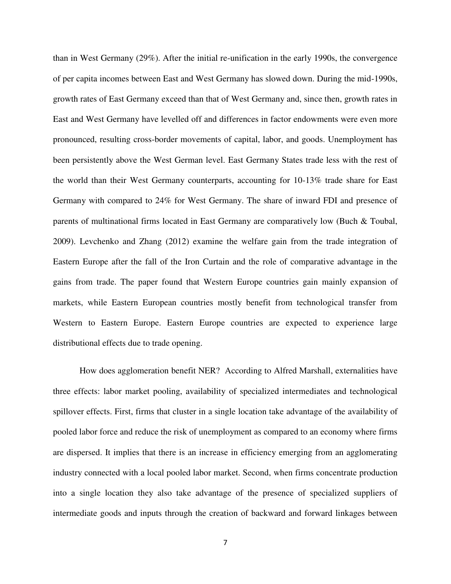than in West Germany (29%). After the initial re-unification in the early 1990s, the convergence of per capita incomes between East and West Germany has slowed down. During the mid-1990s, growth rates of East Germany exceed than that of West Germany and, since then, growth rates in East and West Germany have levelled off and differences in factor endowments were even more pronounced, resulting cross-border movements of capital, labor, and goods. Unemployment has been persistently above the West German level. East Germany States trade less with the rest of the world than their West Germany counterparts, accounting for 10-13% trade share for East Germany with compared to 24% for West Germany. The share of inward FDI and presence of parents of multinational firms located in East Germany are comparatively low (Buch & Toubal, 2009). Levchenko and Zhang (2012) examine the welfare gain from the trade integration of Eastern Europe after the fall of the Iron Curtain and the role of comparative advantage in the gains from trade. The paper found that Western Europe countries gain mainly expansion of markets, while Eastern European countries mostly benefit from technological transfer from Western to Eastern Europe. Eastern Europe countries are expected to experience large distributional effects due to trade opening.

How does agglomeration benefit NER? According to Alfred Marshall, externalities have three effects: labor market pooling, availability of specialized intermediates and technological spillover effects. First, firms that cluster in a single location take advantage of the availability of pooled labor force and reduce the risk of unemployment as compared to an economy where firms are dispersed. It implies that there is an increase in efficiency emerging from an agglomerating industry connected with a local pooled labor market. Second, when firms concentrate production into a single location they also take advantage of the presence of specialized suppliers of intermediate goods and inputs through the creation of backward and forward linkages between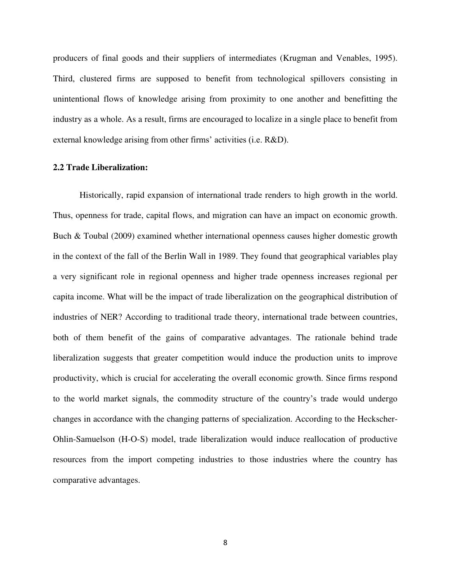producers of final goods and their suppliers of intermediates (Krugman and Venables, 1995). Third, clustered firms are supposed to benefit from technological spillovers consisting in unintentional flows of knowledge arising from proximity to one another and benefitting the industry as a whole. As a result, firms are encouraged to localize in a single place to benefit from external knowledge arising from other firms' activities (i.e. R&D).

#### **2.2 Trade Liberalization:**

Historically, rapid expansion of international trade renders to high growth in the world. Thus, openness for trade, capital flows, and migration can have an impact on economic growth. Buch & Toubal (2009) examined whether international openness causes higher domestic growth in the context of the fall of the Berlin Wall in 1989. They found that geographical variables play a very significant role in regional openness and higher trade openness increases regional per capita income. What will be the impact of trade liberalization on the geographical distribution of industries of NER? According to traditional trade theory, international trade between countries, both of them benefit of the gains of comparative advantages. The rationale behind trade liberalization suggests that greater competition would induce the production units to improve productivity, which is crucial for accelerating the overall economic growth. Since firms respond to the world market signals, the commodity structure of the country's trade would undergo changes in accordance with the changing patterns of specialization. According to the Heckscher-Ohlin-Samuelson (H-O-S) model, trade liberalization would induce reallocation of productive resources from the import competing industries to those industries where the country has comparative advantages.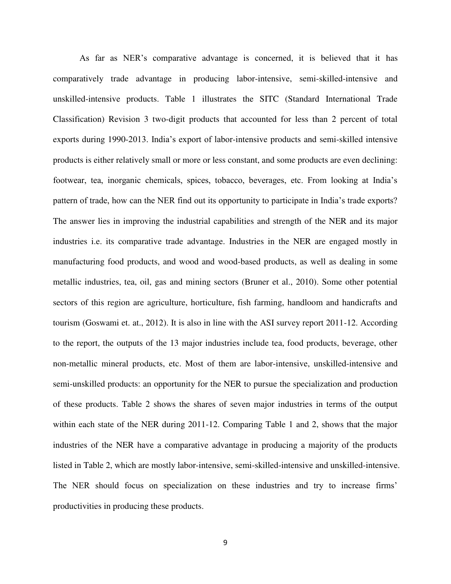As far as NER's comparative advantage is concerned, it is believed that it has comparatively trade advantage in producing labor-intensive, semi-skilled-intensive and unskilled-intensive products. Table 1 illustrates the SITC (Standard International Trade Classification) Revision 3 two-digit products that accounted for less than 2 percent of total exports during 1990-2013. India's export of labor-intensive products and semi-skilled intensive products is either relatively small or more or less constant, and some products are even declining: footwear, tea, inorganic chemicals, spices, tobacco, beverages, etc. From looking at India's pattern of trade, how can the NER find out its opportunity to participate in India's trade exports? The answer lies in improving the industrial capabilities and strength of the NER and its major industries i.e. its comparative trade advantage. Industries in the NER are engaged mostly in manufacturing food products, and wood and wood-based products, as well as dealing in some metallic industries, tea, oil, gas and mining sectors (Bruner et al., 2010). Some other potential sectors of this region are agriculture, horticulture, fish farming, handloom and handicrafts and tourism (Goswami et. at., 2012). It is also in line with the ASI survey report 2011-12. According to the report, the outputs of the 13 major industries include tea, food products, beverage, other non-metallic mineral products, etc. Most of them are labor-intensive, unskilled-intensive and semi-unskilled products: an opportunity for the NER to pursue the specialization and production of these products. Table 2 shows the shares of seven major industries in terms of the output within each state of the NER during 2011-12. Comparing Table 1 and 2, shows that the major industries of the NER have a comparative advantage in producing a majority of the products listed in Table 2, which are mostly labor-intensive, semi-skilled-intensive and unskilled-intensive. The NER should focus on specialization on these industries and try to increase firms' productivities in producing these products.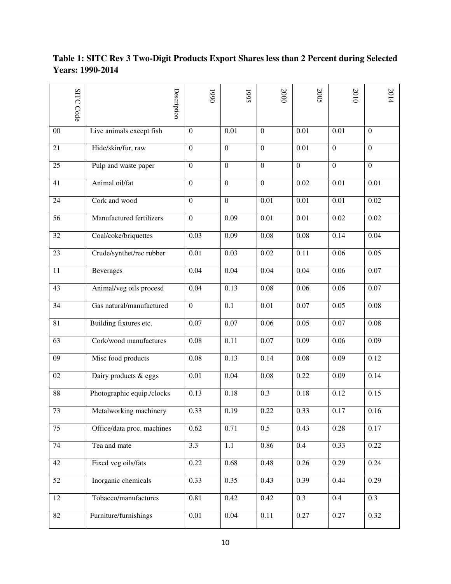## **Table 1: SITC Rev 3 Two-Digit Products Export Shares less than 2 Percent during Selected Years: 1990-2014**

|                 | <b>SITC Code</b> |                            | Description |                   | 0661 |                   | 1995 |                  | 2000 |                  | 2005 |                   | 2010 |                   | 2014 |
|-----------------|------------------|----------------------------|-------------|-------------------|------|-------------------|------|------------------|------|------------------|------|-------------------|------|-------------------|------|
| $00\,$          |                  | Live animals except fish   |             | $\boldsymbol{0}$  |      | 0.01              |      | $\overline{0}$   |      | 0.01             |      | 0.01              |      | $\overline{0}$    |      |
| 21              |                  | Hide/skin/fur, raw         |             | $\boldsymbol{0}$  |      | $\boldsymbol{0}$  |      | $\boldsymbol{0}$ |      | 0.01             |      | $\boldsymbol{0}$  |      | $\overline{0}$    |      |
| 25              |                  | Pulp and waste paper       |             | $\boldsymbol{0}$  |      | $\boldsymbol{0}$  |      | $\boldsymbol{0}$ |      | $\boldsymbol{0}$ |      | $\mathbf{0}$      |      | $\boldsymbol{0}$  |      |
| 41              |                  | Animal oil/fat             |             | $\boldsymbol{0}$  |      | $\boldsymbol{0}$  |      | $\boldsymbol{0}$ |      | 0.02             |      | 0.01              |      | 0.01              |      |
| 24              |                  | Cork and wood              |             | $\boldsymbol{0}$  |      | $\boldsymbol{0}$  |      | 0.01             |      | 0.01             |      | 0.01              |      | 0.02              |      |
| 56              |                  | Manufactured fertilizers   |             | $\boldsymbol{0}$  |      | 0.09              |      | 0.01             |      | 0.01             |      | 0.02              |      | 0.02              |      |
| 32              |                  | Coal/coke/briquettes       |             | 0.03              |      | 0.09              |      | 0.08             |      | 0.08             |      | 0.14              |      | 0.04              |      |
| 23              |                  | Crude/synthet/rec rubber   |             | 0.01              |      | 0.03              |      | 0.02             |      | 0.11             |      | 0.06              |      | 0.05              |      |
| 11              |                  | Beverages                  |             | 0.04              |      | 0.04              |      | 0.04             |      | 0.04             |      | 0.06              |      | $\overline{0.07}$ |      |
| 43              |                  | Animal/veg oils procesd    |             | 0.04              |      | 0.13              |      | 0.08             |      | 0.06             |      | 0.06              |      | 0.07              |      |
| 34              |                  | Gas natural/manufactured   |             | $\boldsymbol{0}$  |      | 0.1               |      | 0.01             |      | 0.07             |      | 0.05              |      | 0.08              |      |
| $\overline{81}$ |                  | Building fixtures etc.     |             | $\overline{0.07}$ |      | $\overline{0.07}$ |      | 0.06             |      | 0.05             |      | $\overline{0.07}$ |      | 0.08              |      |
| 63              |                  | Cork/wood manufactures     |             | 0.08              |      | 0.11              |      | 0.07             |      | 0.09             |      | 0.06              |      | 0.09              |      |
| 09              |                  | Misc food products         |             | 0.08              |      | 0.13              |      | 0.14             |      | 0.08             |      | 0.09              |      | 0.12              |      |
| 02              |                  | Dairy products & eggs      |             | 0.01              |      | 0.04              |      | 0.08             |      | 0.22             |      | 0.09              |      | 0.14              |      |
| 88              |                  | Photographic equip./clocks |             | 0.13              |      | 0.18              |      | 0.3              |      | 0.18             |      | 0.12              |      | 0.15              |      |
| 73              |                  | Metalworking machinery     |             | 0.33              |      | 0.19              |      | 0.22             |      | 0.33             |      | 0.17              |      | 0.16              |      |
| 75              |                  | Office/data proc. machines |             | 0.62              |      | 0.71              |      | 0.5              |      | 0.43             |      | 0.28              |      | 0.17              |      |
| 74              |                  | Tea and mate               |             | 3.3               |      | 1.1               |      | 0.86             |      | $0.4\,$          |      | 0.33              |      | 0.22              |      |
| 42              |                  | Fixed veg oils/fats        |             | 0.22              |      | 0.68              |      | 0.48             |      | 0.26             |      | 0.29              |      | 0.24              |      |
| 52              |                  | Inorganic chemicals        |             | 0.33              |      | 0.35              |      | 0.43             |      | 0.39             |      | 0.44              |      | 0.29              |      |
| 12              |                  | Tobacco/manufactures       |             | 0.81              |      | 0.42              |      | 0.42             |      | 0.3              |      | 0.4               |      | 0.3               |      |
| 82              |                  | Furniture/furnishings      |             | 0.01              |      | 0.04              |      | 0.11             |      | 0.27             |      | 0.27              |      | 0.32              |      |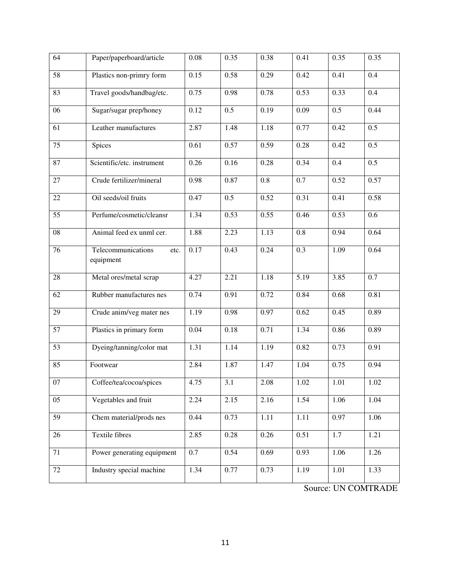| 64              | Paper/paperboard/article                | 0.08 | 0.35 | 0.38     | 0.41             | 0.35             | 0.35             |
|-----------------|-----------------------------------------|------|------|----------|------------------|------------------|------------------|
| $\overline{58}$ | Plastics non-primry form                | 0.15 | 0.58 | 0.29     | 0.42             | 0.41             | 0.4              |
| 83              | Travel goods/handbag/etc.               | 0.75 | 0.98 | 0.78     | 0.53             | 0.33             | 0.4              |
| $\overline{06}$ | Sugar/sugar prep/honey                  | 0.12 | 0.5  | 0.19     | 0.09             | $\overline{0.5}$ | 0.44             |
| 61              | Leather manufactures                    | 2.87 | 1.48 | 1.18     | 0.77             | 0.42             | $\overline{0.5}$ |
| $\overline{75}$ | Spices                                  | 0.61 | 0.57 | 0.59     | 0.28             | 0.42             | $\overline{0.5}$ |
| 87              | Scientific/etc. instrument              | 0.26 | 0.16 | 0.28     | 0.34             | $\overline{0.4}$ | $\overline{0.5}$ |
| $\overline{27}$ | Crude fertilizer/mineral                | 0.98 | 0.87 | 0.8      | $\overline{0.7}$ | 0.52             | 0.57             |
| 22              | Oil seeds/oil fruits                    | 0.47 | 0.5  | 0.52     | 0.31             | 0.41             | 0.58             |
| $\overline{55}$ | Perfume/cosmetic/cleansr                | 1.34 | 0.53 | 0.55     | 0.46             | 0.53             | 0.6              |
| 08              | Animal feed ex unml cer.                | 1.88 | 2.23 | 1.13     | 0.8              | 0.94             | 0.64             |
| 76              | Telecommunications<br>etc.<br>equipment | 0.17 | 0.43 | 0.24     | 0.3              | 1.09             | 0.64             |
| 28              | Metal ores/metal scrap                  | 4.27 | 2.21 | 1.18     | 5.19             | 3.85             | 0.7              |
| 62              | Rubber manufactures nes                 | 0.74 | 0.91 | 0.72     | 0.84             | 0.68             | 0.81             |
| 29              | Crude anim/veg mater nes                | 1.19 | 0.98 | 0.97     | 0.62             | 0.45             | 0.89             |
| 57              | Plastics in primary form                | 0.04 | 0.18 | 0.71     | 1.34             | 0.86             | 0.89             |
| 53              | Dyeing/tanning/color mat                | 1.31 | 1.14 | 1.19     | 0.82             | 0.73             | 0.91             |
| 85              | Footwear                                | 2.84 | 1.87 | 1.47     | 1.04             | 0.75             | 0.94             |
| 07              | Coffee/tea/cocoa/spices                 | 4.75 | 3.1  | $2.08\,$ | 1.02             | 1.01             | 1.02             |
| 05              | Vegetables and fruit                    | 2.24 | 2.15 | 2.16     | 1.54             | 1.06             | 1.04             |
| 59              | Chem material/prods nes                 | 0.44 | 0.73 | 1.11     | 1.11             | 0.97             | 1.06             |
| 26              | <b>Textile fibres</b>                   | 2.85 | 0.28 | 0.26     | 0.51             | 1.7              | 1.21             |
| 71              | Power generating equipment              | 0.7  | 0.54 | 0.69     | 0.93             | 1.06             | 1.26             |
| 72              | Industry special machine                | 1.34 | 0.77 | 0.73     | 1.19             | 1.01             | 1.33             |

Source: UN COMTRADE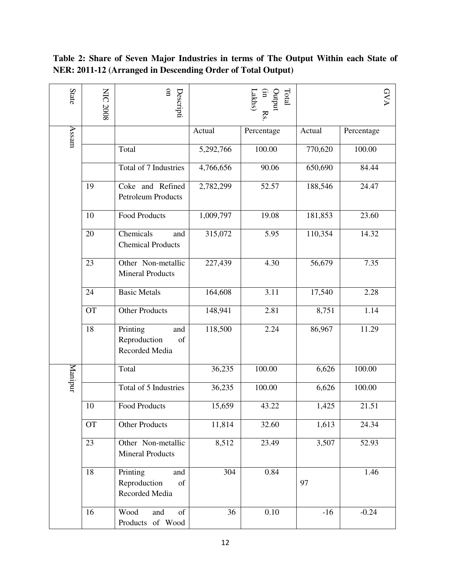| State   | <b>NIC 2008</b> | $\mathbf{S}$<br>Descripti                               |                  | $\rm Total$<br>Dutput<br>Lakhs)<br>$\Xi$<br>$\mathbf{R}$ |         | GVA        |
|---------|-----------------|---------------------------------------------------------|------------------|----------------------------------------------------------|---------|------------|
| Assam   |                 |                                                         | Actual           | Percentage                                               | Actual  | Percentage |
|         |                 | Total                                                   | 5,292,766        | 100.00                                                   | 770,620 | 100.00     |
|         |                 | Total of 7 Industries                                   | 4,766,656        | 90.06                                                    | 650,690 | 84.44      |
|         | 19              | Coke and Refined<br><b>Petroleum Products</b>           | 2,782,299        | 52.57                                                    | 188,546 | 24.47      |
|         | 10              | <b>Food Products</b>                                    | 1,009,797        | 19.08                                                    | 181,853 | 23.60      |
|         | 20              | Chemicals<br>and<br><b>Chemical Products</b>            | 315,072          | 5.95                                                     | 110,354 | 14.32      |
|         | 23              | Other Non-metallic<br><b>Mineral Products</b>           | 227,439          | 4.30                                                     | 56,679  | 7.35       |
|         | 24              | <b>Basic Metals</b>                                     | 164,608          | 3.11                                                     | 17,540  | 2.28       |
|         | <b>OT</b>       | <b>Other Products</b>                                   | 148,941          | 2.81                                                     | 8,751   | 1.14       |
|         | 18              | Printing<br>and<br>Reproduction<br>of<br>Recorded Media | 118,500          | 2.24                                                     | 86,967  | 11.29      |
| Manipur |                 | Total                                                   | 36,235           | 100.00                                                   | 6,626   | 100.00     |
|         |                 | Total of 5 Industries                                   | 36,235           | 100.00                                                   | 6,626   | 100.00     |
|         | 10              | <b>Food Products</b>                                    | 15,659           | 43.22                                                    | 1,425   | 21.51      |
|         | <b>OT</b>       | <b>Other Products</b>                                   | 11,814           | 32.60                                                    | 1,613   | 24.34      |
|         | 23              | Other Non-metallic<br><b>Mineral Products</b>           | 8,512            | 23.49                                                    | 3,507   | 52.93      |
|         | 18              | Printing<br>and<br>Reproduction<br>of<br>Recorded Media | $\overline{304}$ | 0.84                                                     | 97      | 1.46       |
|         | 16              | Wood<br>of<br>and<br>Products of Wood                   | 36               | 0.10                                                     | $-16$   | $-0.24$    |

## **Table 2: Share of Seven Major Industries in terms of The Output Within each State of NER: 2011-12 (Arranged in Descending Order of Total Output)**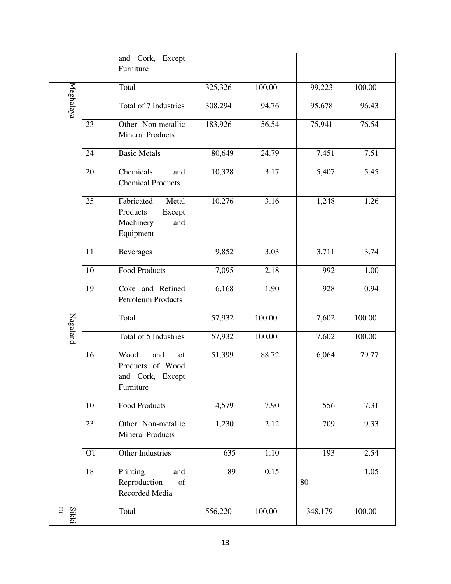|            |           | and Cork,<br>Except                                                        |         |        |                     |        |
|------------|-----------|----------------------------------------------------------------------------|---------|--------|---------------------|--------|
|            |           | Furniture                                                                  |         |        |                     |        |
|            |           | Total                                                                      | 325,326 | 100.00 | $\overline{99,223}$ | 100.00 |
| Meghalaya  |           | Total of 7 Industries                                                      | 308,294 | 94.76  | 95,678              | 96.43  |
|            | 23        | Other Non-metallic<br><b>Mineral Products</b>                              | 183,926 | 56.54  | 75,941              | 76.54  |
|            | 24        | <b>Basic Metals</b>                                                        | 80,649  | 24.79  | 7,451               | 7.51   |
|            | 20        | Chemicals<br>and<br><b>Chemical Products</b>                               | 10,328  | 3.17   | 5,407               | 5.45   |
|            | 25        | Fabricated<br>Metal<br>Products<br>Except<br>Machinery<br>and<br>Equipment | 10,276  | 3.16   | 1,248               | 1.26   |
|            | 11        | <b>Beverages</b>                                                           | 9,852   | 3.03   | 3,711               | 3.74   |
|            | 10        | <b>Food Products</b>                                                       | 7,095   | 2.18   | 992                 | 1.00   |
|            | 19        | Coke and Refined<br><b>Petroleum Products</b>                              | 6,168   | 1.90   | 928                 | 0.94   |
| Nagaland   |           | Total                                                                      | 57,932  | 100.00 | 7,602               | 100.00 |
|            |           | Total of 5 Industries                                                      | 57,932  | 100.00 | 7,602               | 100.00 |
|            | 16        | Wood<br>and<br>of<br>Products of Wood<br>and Cork, Except<br>Furniture     | 51,399  | 88.72  | 6,064               | 79.77  |
|            | 10        | <b>Food Products</b>                                                       | 4,579   | 7.90   | 556                 | 7.31   |
|            | 23        | Other Non-metallic<br><b>Mineral Products</b>                              | 1,230   | 2.12   | 709                 | 9.33   |
|            | <b>OT</b> | Other Industries                                                           | 635     | 1.10   | 193                 | 2.54   |
|            | 18        | Printing<br>and<br>Reproduction<br>of<br>Recorded Media                    | 89      | 0.15   | 80                  | 1.05   |
| Sikki<br>ਬ |           | Total                                                                      | 556,220 | 100.00 | 348,179             | 100.00 |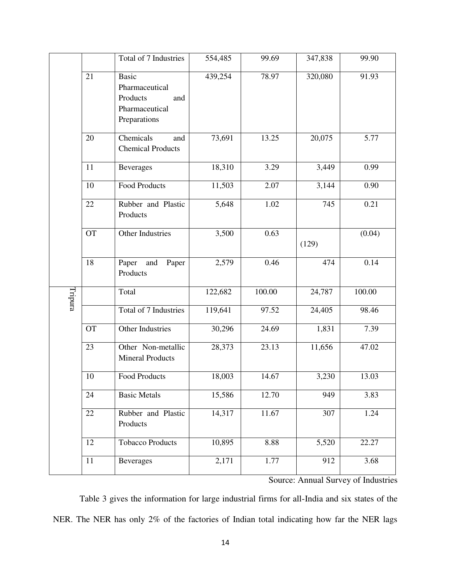|         |                 | Total of 7 Industries                                                               | 554,485 | 99.69  | 347,838 | 99.90  |
|---------|-----------------|-------------------------------------------------------------------------------------|---------|--------|---------|--------|
|         | 21              | <b>Basic</b><br>Pharmaceutical<br>Products<br>and<br>Pharmaceutical<br>Preparations | 439,254 | 78.97  | 320,080 | 91.93  |
|         | 20              | Chemicals<br>and<br><b>Chemical Products</b>                                        | 73,691  | 13.25  | 20,075  | 5.77   |
|         | 11              | <b>Beverages</b>                                                                    | 18,310  | 3.29   | 3,449   | 0.99   |
|         | 10              | <b>Food Products</b>                                                                | 11,503  | 2.07   | 3,144   | 0.90   |
|         | 22              | Rubber and Plastic<br>Products                                                      | 5,648   | 1.02   | 745     | 0.21   |
|         | <b>OT</b>       | Other Industries                                                                    | 3,500   | 0.63   | (129)   | (0.04) |
|         | 18              | Paper<br>and<br>Paper<br>Products                                                   | 2,579   | 0.46   | 474     | 0.14   |
| Tripura |                 | Total                                                                               | 122,682 | 100.00 | 24,787  | 100.00 |
|         |                 | Total of 7 Industries                                                               | 119,641 | 97.52  | 24,405  | 98.46  |
|         | <b>OT</b>       | Other Industries                                                                    | 30,296  | 24.69  | 1,831   | 7.39   |
|         | 23              | Other Non-metallic<br><b>Mineral Products</b>                                       | 28,373  | 23.13  | 11,656  | 47.02  |
|         | 10              | <b>Food Products</b>                                                                | 18,003  | 14.67  | 3,230   | 13.03  |
|         | 24              | <b>Basic Metals</b>                                                                 | 15,586  | 12.70  | 949     | 3.83   |
|         | 22              | Rubber and Plastic<br>Products                                                      | 14,317  | 11.67  | 307     | 1.24   |
|         | 12              | <b>Tobacco Products</b>                                                             | 10,895  | 8.88   | 5,520   | 22.27  |
|         | $\overline{1}1$ | <b>Beverages</b>                                                                    | 2,171   | 1.77   | 912     | 3.68   |

Source: Annual Survey of Industries

Table 3 gives the information for large industrial firms for all-India and six states of the NER. The NER has only 2% of the factories of Indian total indicating how far the NER lags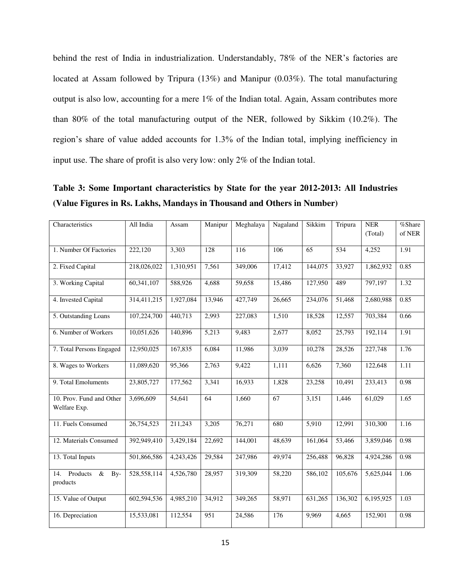behind the rest of India in industrialization. Understandably, 78% of the NER's factories are located at Assam followed by Tripura (13%) and Manipur (0.03%). The total manufacturing output is also low, accounting for a mere 1% of the Indian total. Again, Assam contributes more than 80% of the total manufacturing output of the NER, followed by Sikkim (10.2%). The region's share of value added accounts for 1.3% of the Indian total, implying inefficiency in input use. The share of profit is also very low: only 2% of the Indian total.

**Table 3: Some Important characteristics by State for the year 2012-2013: All Industries (Value Figures in Rs. Lakhs, Mandays in Thousand and Others in Number)** 

| Characteristics                            | All India   | Assam     | Manipur | Meghalaya | Nagaland | Sikkim  | Tripura | <b>NER</b><br>(Total) | %Share<br>of NER |
|--------------------------------------------|-------------|-----------|---------|-----------|----------|---------|---------|-----------------------|------------------|
| 1. Number Of Factories                     | 222,120     | 3,303     | 128     | 116       | 106      | 65      | 534     | 4,252                 | 1.91             |
| 2. Fixed Capital                           | 218,026,022 | 1,310,951 | 7,561   | 349,006   | 17,412   | 144,075 | 33,927  | 1,862,932             | 0.85             |
| 3. Working Capital                         | 60,341,107  | 588,926   | 4,688   | 59,658    | 15,486   | 127,950 | 489     | 797,197               | 1.32             |
| 4. Invested Capital                        | 314,411,215 | 1,927,084 | 13,946  | 427,749   | 26,665   | 234,076 | 51,468  | 2,680,988             | 0.85             |
| 5. Outstanding Loans                       | 107,224,700 | 440,713   | 2,993   | 227,083   | 1,510    | 18,528  | 12,557  | 703,384               | 0.66             |
| 6. Number of Workers                       | 10,051,626  | 140,896   | 5,213   | 9,483     | 2,677    | 8,052   | 25,793  | 192,114               | 1.91             |
| 7. Total Persons Engaged                   | 12,950,025  | 167,835   | 6,084   | 11,986    | 3,039    | 10,278  | 28,526  | 227,748               | 1.76             |
| 8. Wages to Workers                        | 11,089,620  | 95,366    | 2,763   | 9,422     | 1,111    | 6,626   | 7,360   | 122,648               | 1.11             |
| 9. Total Emoluments                        | 23,805,727  | 177,562   | 3,341   | 16,933    | 1,828    | 23,258  | 10,491  | 233,413               | 0.98             |
| 10. Prov. Fund and Other<br>Welfare Exp.   | 3,696,609   | 54,641    | 64      | 1,660     | 67       | 3,151   | 1,446   | 61,029                | 1.65             |
| 11. Fuels Consumed                         | 26,754,523  | 211,243   | 3,205   | 76,271    | 680      | 5,910   | 12,991  | 310,300               | 1.16             |
| 12. Materials Consumed                     | 392,949,410 | 3,429,184 | 22,692  | 144,001   | 48,639   | 161,064 | 53,466  | 3,859,046             | 0.98             |
| 13. Total Inputs                           | 501,866,586 | 4,243,426 | 29,584  | 247,986   | 49,974   | 256,488 | 96,828  | 4,924,286             | 0.98             |
| 14.<br>Products<br>$\&$<br>By-<br>products | 528,558,114 | 4,526,780 | 28,957  | 319,309   | 58,220   | 586,102 | 105,676 | 5,625,044             | 1.06             |
| 15. Value of Output                        | 602,594,536 | 4,985,210 | 34,912  | 349,265   | 58,971   | 631,265 | 136,302 | 6,195,925             | 1.03             |
| 16. Depreciation                           | 15,533,081  | 112,554   | 951     | 24,586    | 176      | 9,969   | 4,665   | 152,901               | 0.98             |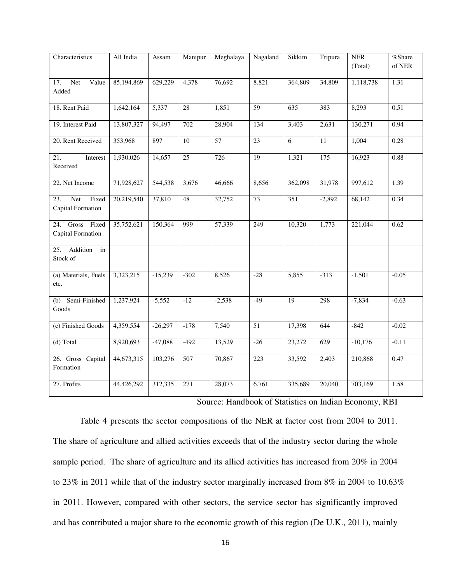| Characteristics                                 | All India  | Assam     | Manipur         | Meghalaya       | Nagaland        | Sikkim             | Tripura  | <b>NER</b> | %Share  |
|-------------------------------------------------|------------|-----------|-----------------|-----------------|-----------------|--------------------|----------|------------|---------|
|                                                 |            |           |                 |                 |                 |                    |          | (Total)    | of NER  |
| <b>Net</b><br>Value<br>17.<br>Added             | 85,194,869 | 629,229   | 4,378           | 76,692          | 8,821           | 364,809            | 34,809   | 1,118,738  | 1.31    |
| 18. Rent Paid                                   | 1,642,164  | 5,337     | $\overline{28}$ | 1,851           | 59              | 635                | 383      | 8,293      | 0.51    |
| 19. Interest Paid                               | 13,807,327 | 94,497    | 702             | 28,904          | 134             | 3,403              | 2,631    | 130,271    | 0.94    |
| 20. Rent Received                               | 353,968    | 897       | 10              | $\overline{57}$ | $\overline{23}$ | 6                  | 11       | 1,004      | 0.28    |
| 21.<br>Interest<br>Received                     | 1,930,026  | 14,657    | 25              | 726             | 19              | 1,321              | 175      | 16,923     | 0.88    |
| 22. Net Income                                  | 71,928,627 | 544,538   | 3,676           | 46,666          | 8,656           | 362,098            | 31,978   | 997,612    | 1.39    |
| <b>Net</b><br>Fixed<br>23.<br>Capital Formation | 20,219,540 | 37,810    | 48              | 32,752          | 73              | 351                | $-2,892$ | 68,142     | 0.34    |
| Gross Fixed<br>24.<br>Capital Formation         | 35,752,621 | 150,364   | 999             | 57,339          | 249             | 10,320             | 1,773    | 221,044    | 0.62    |
| Addition<br>25.<br>in<br>Stock of               |            |           |                 |                 |                 |                    |          |            |         |
| (a) Materials, Fuels<br>etc.                    | 3,323,215  | $-15,239$ | $-302$          | 8,526           | $-28$           | $\overline{5,855}$ | $-313$   | $-1,501$   | $-0.05$ |
| (b) Semi-Finished<br>Goods                      | 1,237,924  | $-5,552$  | $-12$           | $-2,538$        | $-49$           | 19                 | 298      | $-7,834$   | $-0.63$ |
| (c) Finished Goods                              | 4,359,554  | $-26,297$ | $-178$          | 7,540           | 51              | 17,398             | 644      | $-842$     | $-0.02$ |
| (d) Total                                       | 8,920,693  | $-47,088$ | $-492$          | 13,529          | $-26$           | 23,272             | 629      | $-10,176$  | $-0.11$ |
| 26. Gross Capital<br>Formation                  | 44,673,315 | 103,276   | 507             | 70,867          | 223             | 33,592             | 2,403    | 210,868    | 0.47    |
| 27. Profits                                     | 44,426,292 | 312,335   | 271             | 28,073          | 6,761           | 335,689            | 20,040   | 703,169    | 1.58    |

Source: Handbook of Statistics on Indian Economy, RBI

Table 4 presents the sector compositions of the NER at factor cost from 2004 to 2011. The share of agriculture and allied activities exceeds that of the industry sector during the whole sample period. The share of agriculture and its allied activities has increased from 20% in 2004 to 23% in 2011 while that of the industry sector marginally increased from 8% in 2004 to 10.63% in 2011. However, compared with other sectors, the service sector has significantly improved and has contributed a major share to the economic growth of this region (De U.K., 2011), mainly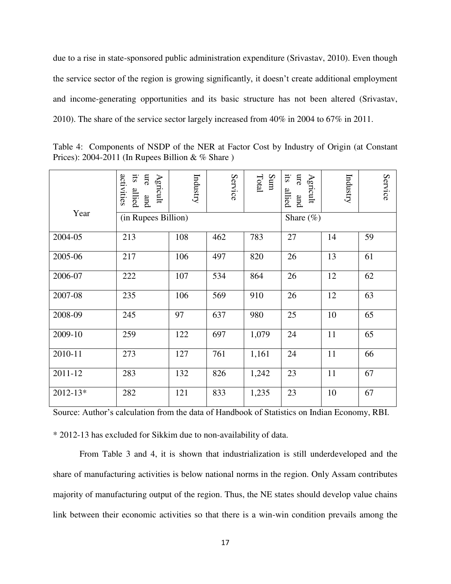due to a rise in state-sponsored public administration expenditure (Srivastav, 2010). Even though the service sector of the region is growing significantly, it doesn't create additional employment and income-generating opportunities and its basic structure has not been altered (Srivastav, 2010). The share of the service sector largely increased from 40% in 2004 to 67% in 2011.

Table 4: Components of NSDP of the NER at Factor Cost by Industry of Origin (at Constant Prices): 2004-2011 (In Rupees Billion  $& \%$  Share)

|              | sii.<br>activities<br>ure<br>Agricult<br>allied<br>pue | Industry | Service | Total<br>Sum | SII.<br>ure<br>Agricult<br>allied<br>and | Industry | Service |
|--------------|--------------------------------------------------------|----------|---------|--------------|------------------------------------------|----------|---------|
| Year         | (in Rupees Billion)                                    |          |         |              | Share $(\%)$                             |          |         |
| 2004-05      | 213                                                    | 108      | 462     | 783          | 27                                       | 14       | 59      |
| 2005-06      | 217                                                    | 106      | 497     | 820          | 26                                       | 13       | 61      |
| 2006-07      | 222                                                    | 107      | 534     | 864          | 26                                       | 12       | 62      |
| 2007-08      | 235                                                    | 106      | 569     | 910          | 26                                       | 12       | 63      |
| 2008-09      | 245                                                    | 97       | 637     | 980          | 25                                       | 10       | 65      |
| 2009-10      | 259                                                    | 122      | 697     | 1,079        | 24                                       | 11       | 65      |
| 2010-11      | 273                                                    | 127      | 761     | 1,161        | 24                                       | 11       | 66      |
| 2011-12      | 283                                                    | 132      | 826     | 1,242        | 23                                       | 11       | 67      |
| $2012 - 13*$ | 282                                                    | 121      | 833     | 1,235        | 23                                       | 10       | 67      |

Source: Author's calculation from the data of Handbook of Statistics on Indian Economy, RBI.

\* 2012-13 has excluded for Sikkim due to non-availability of data.

From Table 3 and 4, it is shown that industrialization is still underdeveloped and the share of manufacturing activities is below national norms in the region. Only Assam contributes majority of manufacturing output of the region. Thus, the NE states should develop value chains link between their economic activities so that there is a win-win condition prevails among the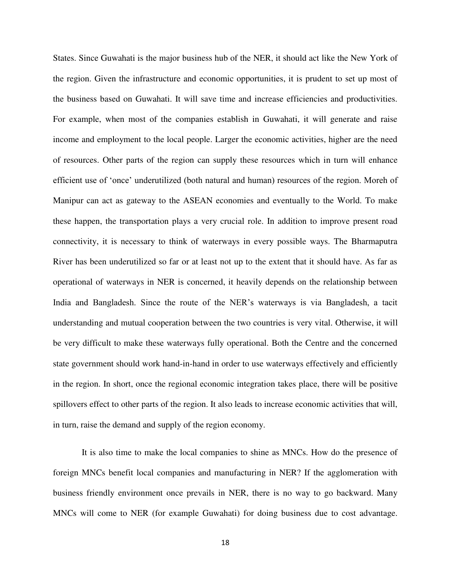States. Since Guwahati is the major business hub of the NER, it should act like the New York of the region. Given the infrastructure and economic opportunities, it is prudent to set up most of the business based on Guwahati. It will save time and increase efficiencies and productivities. For example, when most of the companies establish in Guwahati, it will generate and raise income and employment to the local people. Larger the economic activities, higher are the need of resources. Other parts of the region can supply these resources which in turn will enhance efficient use of 'once' underutilized (both natural and human) resources of the region. Moreh of Manipur can act as gateway to the ASEAN economies and eventually to the World. To make these happen, the transportation plays a very crucial role. In addition to improve present road connectivity, it is necessary to think of waterways in every possible ways. The Bharmaputra River has been underutilized so far or at least not up to the extent that it should have. As far as operational of waterways in NER is concerned, it heavily depends on the relationship between India and Bangladesh. Since the route of the NER's waterways is via Bangladesh, a tacit understanding and mutual cooperation between the two countries is very vital. Otherwise, it will be very difficult to make these waterways fully operational. Both the Centre and the concerned state government should work hand-in-hand in order to use waterways effectively and efficiently in the region. In short, once the regional economic integration takes place, there will be positive spillovers effect to other parts of the region. It also leads to increase economic activities that will, in turn, raise the demand and supply of the region economy.

 It is also time to make the local companies to shine as MNCs. How do the presence of foreign MNCs benefit local companies and manufacturing in NER? If the agglomeration with business friendly environment once prevails in NER, there is no way to go backward. Many MNCs will come to NER (for example Guwahati) for doing business due to cost advantage.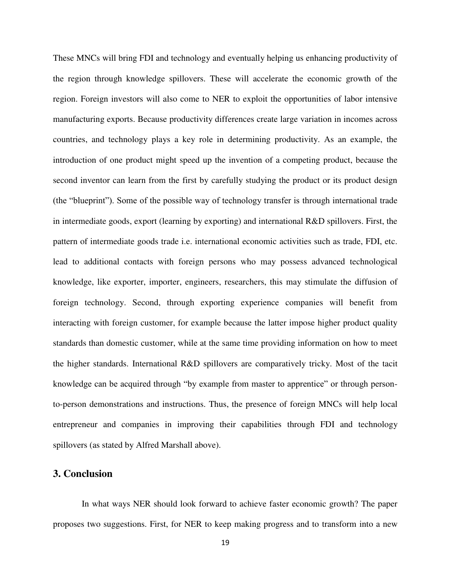These MNCs will bring FDI and technology and eventually helping us enhancing productivity of the region through knowledge spillovers. These will accelerate the economic growth of the region. Foreign investors will also come to NER to exploit the opportunities of labor intensive manufacturing exports. Because productivity differences create large variation in incomes across countries, and technology plays a key role in determining productivity. As an example, the introduction of one product might speed up the invention of a competing product, because the second inventor can learn from the first by carefully studying the product or its product design (the "blueprint"). Some of the possible way of technology transfer is through international trade in intermediate goods, export (learning by exporting) and international R&D spillovers. First, the pattern of intermediate goods trade i.e. international economic activities such as trade, FDI, etc. lead to additional contacts with foreign persons who may possess advanced technological knowledge, like exporter, importer, engineers, researchers, this may stimulate the diffusion of foreign technology. Second, through exporting experience companies will benefit from interacting with foreign customer, for example because the latter impose higher product quality standards than domestic customer, while at the same time providing information on how to meet the higher standards. International R&D spillovers are comparatively tricky. Most of the tacit knowledge can be acquired through "by example from master to apprentice" or through personto-person demonstrations and instructions. Thus, the presence of foreign MNCs will help local entrepreneur and companies in improving their capabilities through FDI and technology spillovers (as stated by Alfred Marshall above).

### **3. Conclusion**

 In what ways NER should look forward to achieve faster economic growth? The paper proposes two suggestions. First, for NER to keep making progress and to transform into a new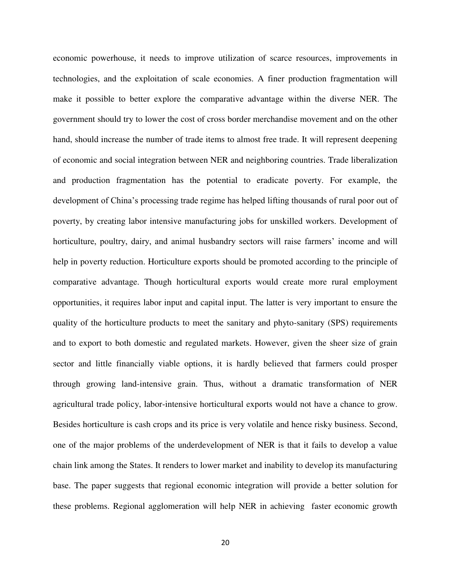economic powerhouse, it needs to improve utilization of scarce resources, improvements in technologies, and the exploitation of scale economies. A finer production fragmentation will make it possible to better explore the comparative advantage within the diverse NER. The government should try to lower the cost of cross border merchandise movement and on the other hand, should increase the number of trade items to almost free trade. It will represent deepening of economic and social integration between NER and neighboring countries. Trade liberalization and production fragmentation has the potential to eradicate poverty. For example, the development of China's processing trade regime has helped lifting thousands of rural poor out of poverty, by creating labor intensive manufacturing jobs for unskilled workers. Development of horticulture, poultry, dairy, and animal husbandry sectors will raise farmers' income and will help in poverty reduction. Horticulture exports should be promoted according to the principle of comparative advantage. Though horticultural exports would create more rural employment opportunities, it requires labor input and capital input. The latter is very important to ensure the quality of the horticulture products to meet the sanitary and phyto-sanitary (SPS) requirements and to export to both domestic and regulated markets. However, given the sheer size of grain sector and little financially viable options, it is hardly believed that farmers could prosper through growing land-intensive grain. Thus, without a dramatic transformation of NER agricultural trade policy, labor-intensive horticultural exports would not have a chance to grow. Besides horticulture is cash crops and its price is very volatile and hence risky business. Second, one of the major problems of the underdevelopment of NER is that it fails to develop a value chain link among the States. It renders to lower market and inability to develop its manufacturing base. The paper suggests that regional economic integration will provide a better solution for these problems. Regional agglomeration will help NER in achieving faster economic growth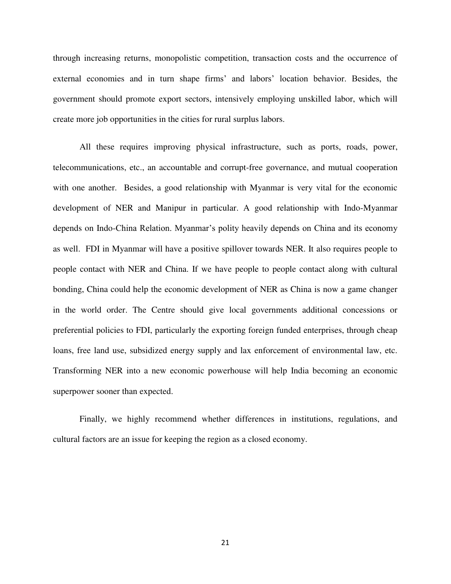through increasing returns, monopolistic competition, transaction costs and the occurrence of external economies and in turn shape firms' and labors' location behavior. Besides, the government should promote export sectors, intensively employing unskilled labor, which will create more job opportunities in the cities for rural surplus labors.

All these requires improving physical infrastructure, such as ports, roads, power, telecommunications, etc., an accountable and corrupt-free governance, and mutual cooperation with one another. Besides, a good relationship with Myanmar is very vital for the economic development of NER and Manipur in particular. A good relationship with Indo-Myanmar depends on Indo-China Relation. Myanmar's polity heavily depends on China and its economy as well. FDI in Myanmar will have a positive spillover towards NER. It also requires people to people contact with NER and China. If we have people to people contact along with cultural bonding, China could help the economic development of NER as China is now a game changer in the world order. The Centre should give local governments additional concessions or preferential policies to FDI, particularly the exporting foreign funded enterprises, through cheap loans, free land use, subsidized energy supply and lax enforcement of environmental law, etc. Transforming NER into a new economic powerhouse will help India becoming an economic superpower sooner than expected.

Finally, we highly recommend whether differences in institutions, regulations, and cultural factors are an issue for keeping the region as a closed economy.